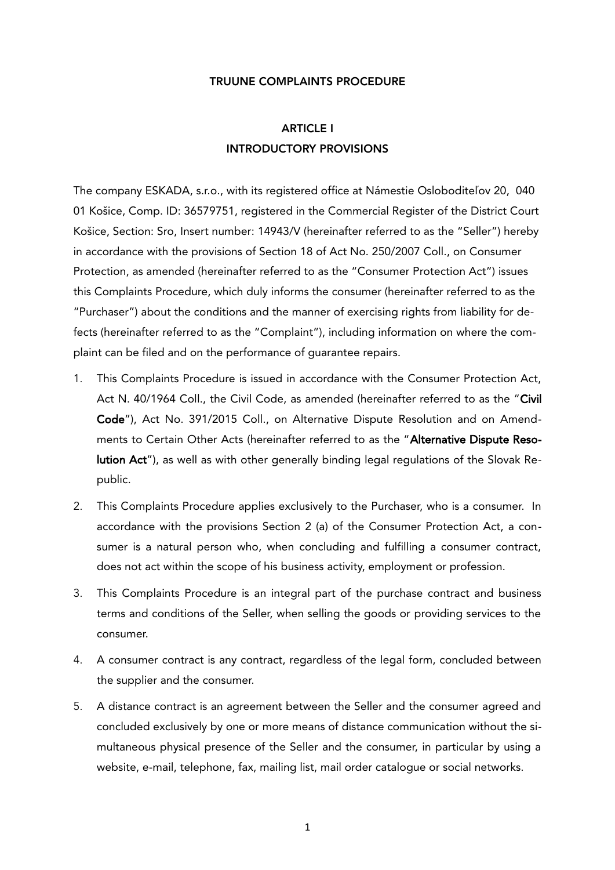#### TRUUNE COMPLAINTS PROCEDURE

# ARTICLE I INTRODUCTORY PROVISIONS

The company ESKADA, s.r.o., with its registered office at Námestie Osloboditeľov 20, 040 01 Košice, Comp. ID: 36579751, registered in the Commercial Register of the District Court Košice, Section: Sro, Insert number: 14943/V (hereinafter referred to as the "Seller") hereby in accordance with the provisions of Section 18 of Act No. 250/2007 Coll., on Consumer Protection, as amended (hereinafter referred to as the "Consumer Protection Act") issues this Complaints Procedure, which duly informs the consumer (hereinafter referred to as the "Purchaser") about the conditions and the manner of exercising rights from liability for defects (hereinafter referred to as the "Complaint"), including information on where the complaint can be filed and on the performance of guarantee repairs.

- 1. This Complaints Procedure is issued in accordance with the Consumer Protection Act, Act N. 40/1964 Coll., the Civil Code, as amended (hereinafter referred to as the "Civil Code"), Act No. 391/2015 Coll., on Alternative Dispute Resolution and on Amendments to Certain Other Acts (hereinafter referred to as the "Alternative Dispute Resolution Act"), as well as with other generally binding legal regulations of the Slovak Republic.
- 2. This Complaints Procedure applies exclusively to the Purchaser, who is a consumer. In accordance with the provisions Section 2 (a) of the Consumer Protection Act, a consumer is a natural person who, when concluding and fulfilling a consumer contract, does not act within the scope of his business activity, employment or profession.
- 3. This Complaints Procedure is an integral part of the purchase contract and business terms and conditions of the Seller, when selling the goods or providing services to the consumer.
- 4. A consumer contract is any contract, regardless of the legal form, concluded between the supplier and the consumer.
- 5. A distance contract is an agreement between the Seller and the consumer agreed and concluded exclusively by one or more means of distance communication without the simultaneous physical presence of the Seller and the consumer, in particular by using a website, e-mail, telephone, fax, mailing list, mail order catalogue or social networks.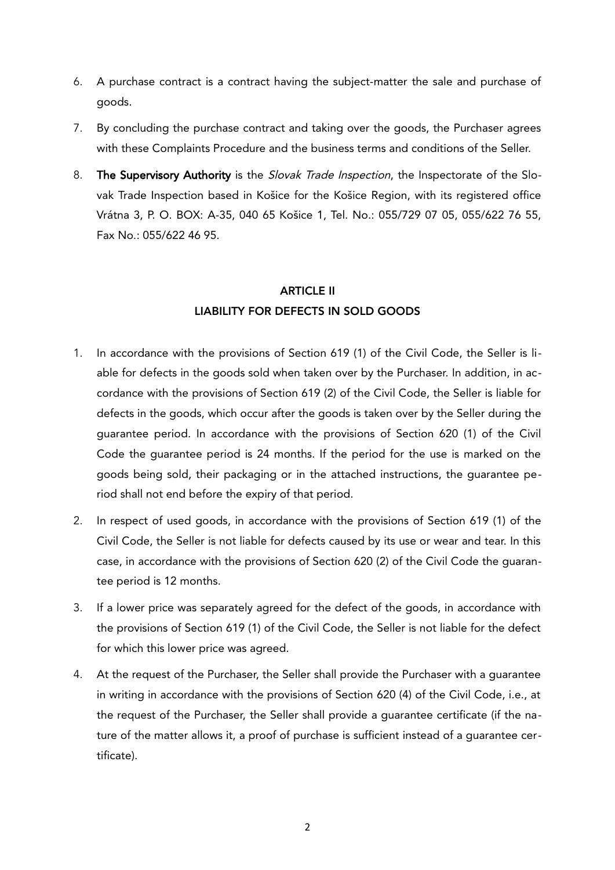- 6. A purchase contract is a contract having the subject-matter the sale and purchase of goods.
- 7. By concluding the purchase contract and taking over the goods, the Purchaser agrees with these Complaints Procedure and the business terms and conditions of the Seller.
- 8. The Supervisory Authority is the Slovak Trade Inspection, the Inspectorate of the Slovak Trade Inspection based in Košice for the Košice Region, with its registered office Vrátna 3, P. O. BOX: A-35, 040 65 Košice 1, Tel. No.: 055/729 07 05, 055/622 76 55, Fax No.: 055/622 46 95.

## **ARTICLE II** LIABILITY FOR DEFECTS IN SOLD GOODS

- 1. In accordance with the provisions of Section 619 (1) of the Civil Code, the Seller is liable for defects in the goods sold when taken over by the Purchaser. In addition, in accordance with the provisions of Section 619 (2) of the Civil Code, the Seller is liable for defects in the goods, which occur after the goods is taken over by the Seller during the guarantee period. In accordance with the provisions of Section 620 (1) of the Civil Code the guarantee period is 24 months. If the period for the use is marked on the goods being sold, their packaging or in the attached instructions, the guarantee period shall not end before the expiry of that period.
- 2. In respect of used goods, in accordance with the provisions of Section 619 (1) of the Civil Code, the Seller is not liable for defects caused by its use or wear and tear. In this case, in accordance with the provisions of Section 620 (2) of the Civil Code the guarantee period is 12 months.
- 3. If a lower price was separately agreed for the defect of the goods, in accordance with the provisions of Section 619 (1) of the Civil Code, the Seller is not liable for the defect for which this lower price was agreed.
- 4. At the request of the Purchaser, the Seller shall provide the Purchaser with a guarantee in writing in accordance with the provisions of Section 620 (4) of the Civil Code, i.e., at the request of the Purchaser, the Seller shall provide a guarantee certificate (if the nature of the matter allows it, a proof of purchase is sufficient instead of a guarantee certificate).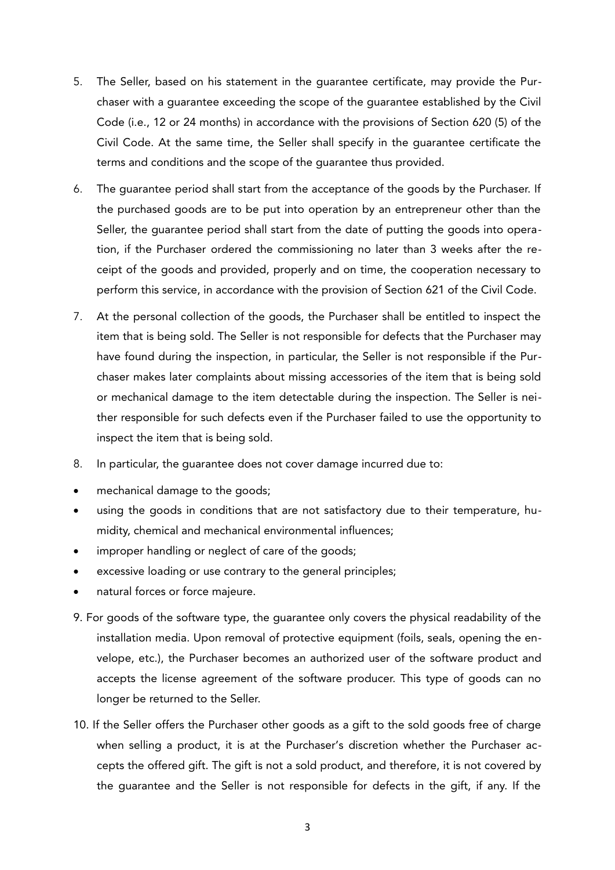- 5. The Seller, based on his statement in the guarantee certificate, may provide the Purchaser with a guarantee exceeding the scope of the guarantee established by the Civil Code (i.e., 12 or 24 months) in accordance with the provisions of Section 620 (5) of the Civil Code. At the same time, the Seller shall specify in the guarantee certificate the terms and conditions and the scope of the guarantee thus provided.
- 6. The guarantee period shall start from the acceptance of the goods by the Purchaser. If the purchased goods are to be put into operation by an entrepreneur other than the Seller, the guarantee period shall start from the date of putting the goods into operation, if the Purchaser ordered the commissioning no later than 3 weeks after the receipt of the goods and provided, properly and on time, the cooperation necessary to perform this service, in accordance with the provision of Section 621 of the Civil Code.
- 7. At the personal collection of the goods, the Purchaser shall be entitled to inspect the item that is being sold. The Seller is not responsible for defects that the Purchaser may have found during the inspection, in particular, the Seller is not responsible if the Purchaser makes later complaints about missing accessories of the item that is being sold or mechanical damage to the item detectable during the inspection. The Seller is neither responsible for such defects even if the Purchaser failed to use the opportunity to inspect the item that is being sold.
- 8. In particular, the guarantee does not cover damage incurred due to:
- · mechanical damage to the goods;
- · using the goods in conditions that are not satisfactory due to their temperature, humidity, chemical and mechanical environmental influences;
- · improper handling or neglect of care of the goods;
- excessive loading or use contrary to the general principles;
- · natural forces or force majeure.
- 9. For goods of the software type, the guarantee only covers the physical readability of the installation media. Upon removal of protective equipment (foils, seals, opening the envelope, etc.), the Purchaser becomes an authorized user of the software product and accepts the license agreement of the software producer. This type of goods can no longer be returned to the Seller.
- 10. If the Seller offers the Purchaser other goods as a gift to the sold goods free of charge when selling a product, it is at the Purchaser's discretion whether the Purchaser accepts the offered gift. The gift is not a sold product, and therefore, it is not covered by the guarantee and the Seller is not responsible for defects in the gift, if any. If the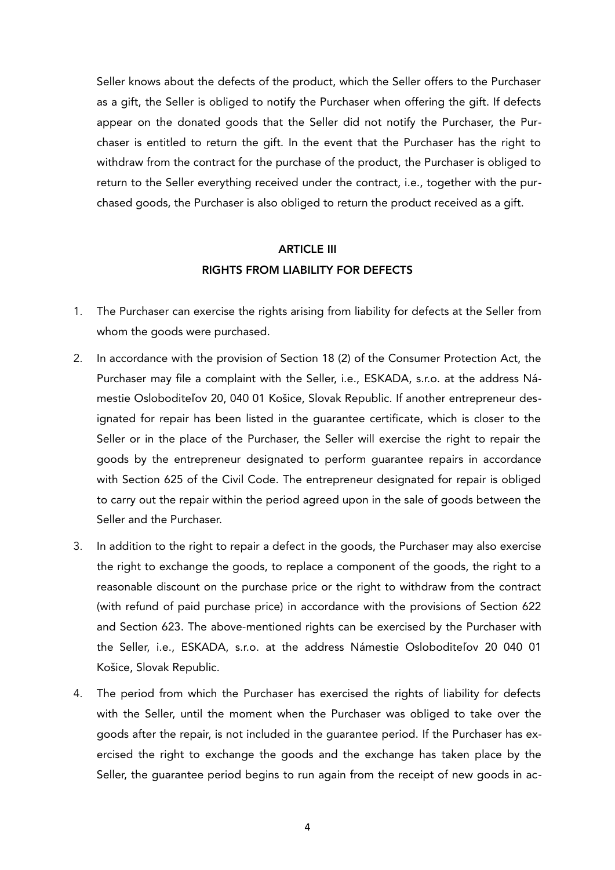Seller knows about the defects of the product, which the Seller offers to the Purchaser as a gift, the Seller is obliged to notify the Purchaser when offering the gift. If defects appear on the donated goods that the Seller did not notify the Purchaser, the Purchaser is entitled to return the gift. In the event that the Purchaser has the right to withdraw from the contract for the purchase of the product, the Purchaser is obliged to return to the Seller everything received under the contract, i.e., together with the purchased goods, the Purchaser is also obliged to return the product received as a gift.

### ARTICLE III RIGHTS FROM LIABILITY FOR DEFECTS

- 1. The Purchaser can exercise the rights arising from liability for defects at the Seller from whom the goods were purchased.
- 2. In accordance with the provision of Section 18 (2) of the Consumer Protection Act, the Purchaser may file a complaint with the Seller, i.e., ESKADA, s.r.o. at the address Námestie Osloboditeľov 20, 040 01 Košice, Slovak Republic. If another entrepreneur designated for repair has been listed in the guarantee certificate, which is closer to the Seller or in the place of the Purchaser, the Seller will exercise the right to repair the goods by the entrepreneur designated to perform guarantee repairs in accordance with Section 625 of the Civil Code. The entrepreneur designated for repair is obliged to carry out the repair within the period agreed upon in the sale of goods between the Seller and the Purchaser.
- 3. In addition to the right to repair a defect in the goods, the Purchaser may also exercise the right to exchange the goods, to replace a component of the goods, the right to a reasonable discount on the purchase price or the right to withdraw from the contract (with refund of paid purchase price) in accordance with the provisions of Section 622 and Section 623. The above-mentioned rights can be exercised by the Purchaser with the Seller, i.e., ESKADA, s.r.o. at the address Námestie Osloboditeľov 20 040 01 Košice, Slovak Republic.
- 4. The period from which the Purchaser has exercised the rights of liability for defects with the Seller, until the moment when the Purchaser was obliged to take over the goods after the repair, is not included in the guarantee period. If the Purchaser has exercised the right to exchange the goods and the exchange has taken place by the Seller, the guarantee period begins to run again from the receipt of new goods in ac-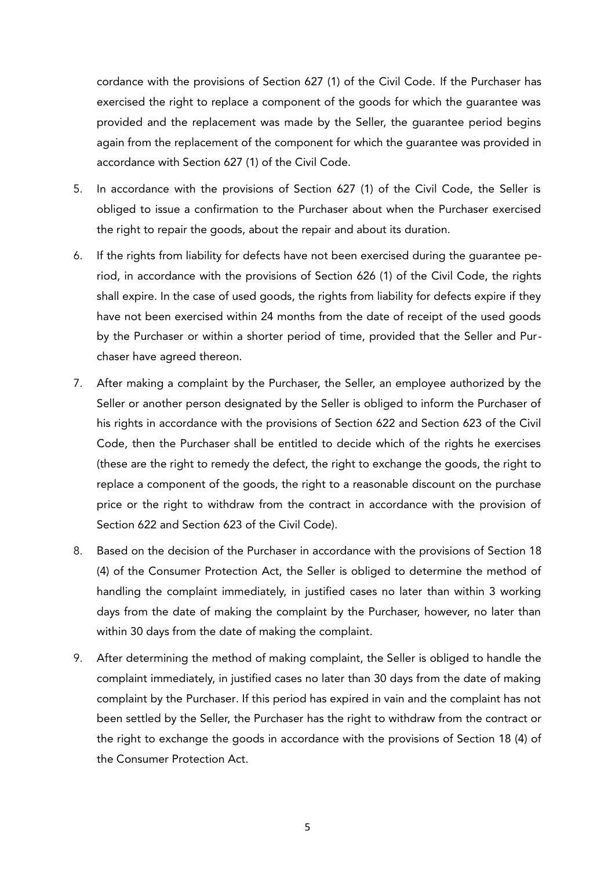cordance with the provisions of Section 627 (1) of the Civil Code. If the Purchaser has exercised the right to replace a component of the goods for which the guarantee was provided and the replacement was made by the Seller, the guarantee period begins again from the replacement of the component for which the guarantee was provided in accordance with Section 627 (1) of the Civil Code.

- 5. In accordance with the provisions of Section 627 (1) of the Civil Code, the Seller is obliged to issue a confirmation to the Purchaser about when the Purchaser exercised the right to repair the goods, about the repair and about its duration.
- 6. If the rights from liability for defects have not been exercised during the guarantee period, in accordance with the provisions of Section 626 (1) of the Civil Code, the rights shall expire. In the case of used goods, the rights from liability for defects expire if they have not been exercised within 24 months from the date of receipt of the used goods by the Purchaser or within a shorter period of time, provided that the Seller and Purchaser have agreed thereon.
- 7. After making a complaint by the Purchaser, the Seller, an employee authorized by the Seller or another person designated by the Seller is obliged to inform the Purchaser of his rights in accordance with the provisions of Section 622 and Section 623 of the Civil Code, then the Purchaser shall be entitled to decide which of the rights he exercises (these are the right to remedy the defect, the right to exchange the goods, the right to replace a component of the goods, the right to a reasonable discount on the purchase price or the right to withdraw from the contract in accordance with the provision of Section 622 and Section 623 of the Civil Code).
- 8. Based on the decision of the Purchaser in accordance with the provisions of Section 18 (4) of the Consumer Protection Act, the Seller is obliged to determine the method of handling the complaint immediately, in justified cases no later than within 3 working days from the date of making the complaint by the Purchaser, however, no later than within 30 days from the date of making the complaint.
- 9. After determining the method of making complaint, the Seller is obliged to handle the complaint immediately, in justified cases no later than 30 days from the date of making complaint by the Purchaser. If this period has expired in vain and the complaint has not been settled by the Seller, the Purchaser has the right to withdraw from the contract or the right to exchange the goods in accordance with the provisions of Section 18 (4) of the Consumer Protection Act.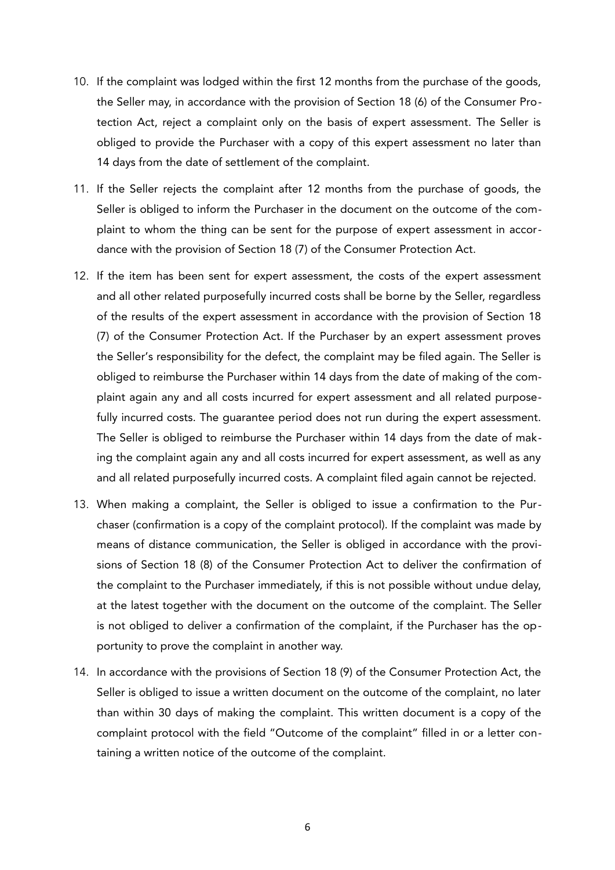- 10. If the complaint was lodged within the first 12 months from the purchase of the goods, the Seller may, in accordance with the provision of Section 18 (6) of the Consumer Protection Act, reject a complaint only on the basis of expert assessment. The Seller is obliged to provide the Purchaser with a copy of this expert assessment no later than 14 days from the date of settlement of the complaint.
- 11. If the Seller rejects the complaint after 12 months from the purchase of goods, the Seller is obliged to inform the Purchaser in the document on the outcome of the complaint to whom the thing can be sent for the purpose of expert assessment in accordance with the provision of Section 18 (7) of the Consumer Protection Act.
- 12. If the item has been sent for expert assessment, the costs of the expert assessment and all other related purposefully incurred costs shall be borne by the Seller, regardless of the results of the expert assessment in accordance with the provision of Section 18 (7) of the Consumer Protection Act. If the Purchaser by an expert assessment proves the Seller's responsibility for the defect, the complaint may be filed again. The Seller is obliged to reimburse the Purchaser within 14 days from the date of making of the complaint again any and all costs incurred for expert assessment and all related purposefully incurred costs. The guarantee period does not run during the expert assessment. The Seller is obliged to reimburse the Purchaser within 14 days from the date of making the complaint again any and all costs incurred for expert assessment, as well as any and all related purposefully incurred costs. A complaint filed again cannot be rejected.
- 13. When making a complaint, the Seller is obliged to issue a confirmation to the Purchaser (confirmation is a copy of the complaint protocol). If the complaint was made by means of distance communication, the Seller is obliged in accordance with the provisions of Section 18 (8) of the Consumer Protection Act to deliver the confirmation of the complaint to the Purchaser immediately, if this is not possible without undue delay, at the latest together with the document on the outcome of the complaint. The Seller is not obliged to deliver a confirmation of the complaint, if the Purchaser has the opportunity to prove the complaint in another way.
- 14. In accordance with the provisions of Section 18 (9) of the Consumer Protection Act, the Seller is obliged to issue a written document on the outcome of the complaint, no later than within 30 days of making the complaint. This written document is a copy of the complaint protocol with the field "Outcome of the complaint" filled in or a letter containing a written notice of the outcome of the complaint.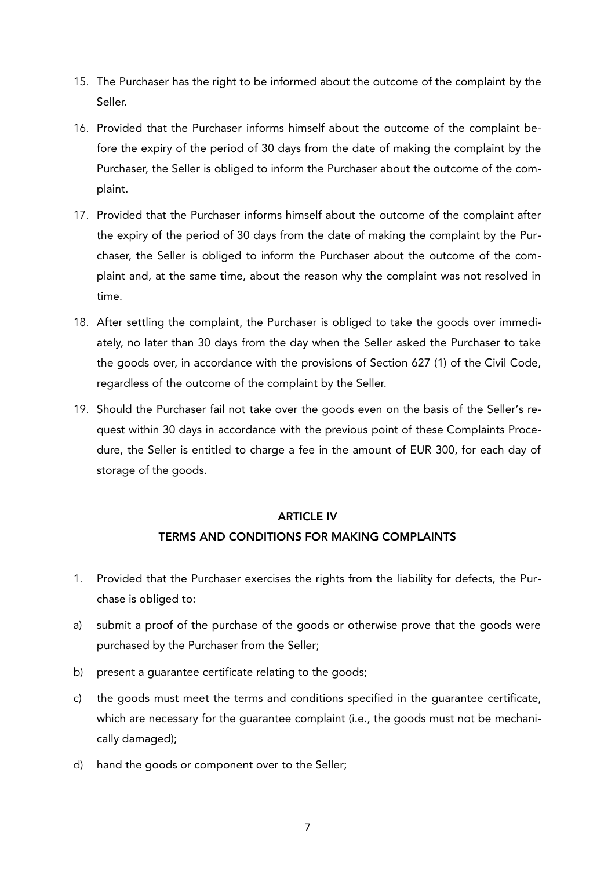- 15. The Purchaser has the right to be informed about the outcome of the complaint by the Seller.
- 16. Provided that the Purchaser informs himself about the outcome of the complaint before the expiry of the period of 30 days from the date of making the complaint by the Purchaser, the Seller is obliged to inform the Purchaser about the outcome of the complaint.
- 17. Provided that the Purchaser informs himself about the outcome of the complaint after the expiry of the period of 30 days from the date of making the complaint by the Purchaser, the Seller is obliged to inform the Purchaser about the outcome of the complaint and, at the same time, about the reason why the complaint was not resolved in time.
- 18. After settling the complaint, the Purchaser is obliged to take the goods over immediately, no later than 30 days from the day when the Seller asked the Purchaser to take the goods over, in accordance with the provisions of Section 627 (1) of the Civil Code, regardless of the outcome of the complaint by the Seller.
- 19. Should the Purchaser fail not take over the goods even on the basis of the Seller's request within 30 days in accordance with the previous point of these Complaints Procedure, the Seller is entitled to charge a fee in the amount of EUR 300, for each day of storage of the goods.

### ARTICLE IV

### TERMS AND CONDITIONS FOR MAKING COMPLAINTS

- 1. Provided that the Purchaser exercises the rights from the liability for defects, the Purchase is obliged to:
- a) submit a proof of the purchase of the goods or otherwise prove that the goods were purchased by the Purchaser from the Seller;
- b) present a guarantee certificate relating to the goods;
- c) the goods must meet the terms and conditions specified in the guarantee certificate, which are necessary for the guarantee complaint (i.e., the goods must not be mechanically damaged);
- d) hand the goods or component over to the Seller;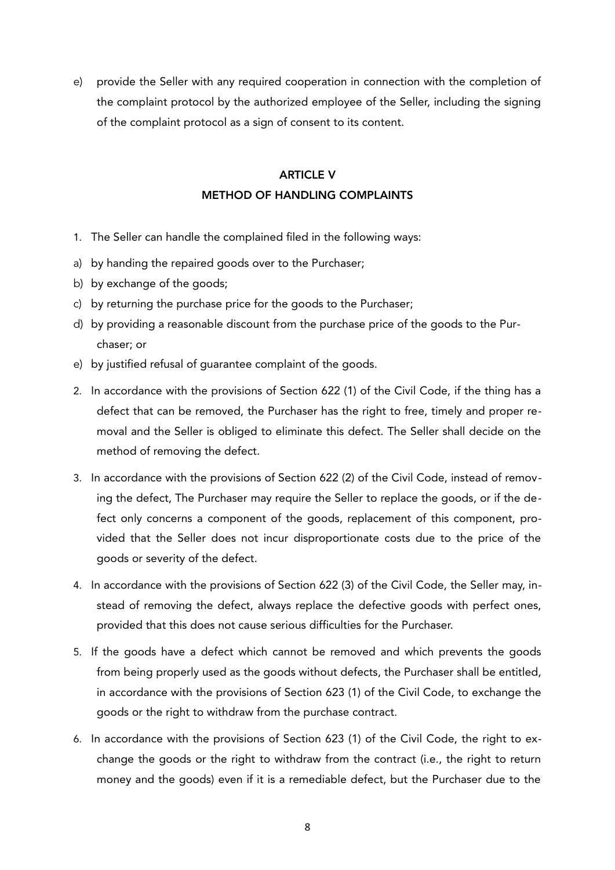e) provide the Seller with any required cooperation in connection with the completion of the complaint protocol by the authorized employee of the Seller, including the signing of the complaint protocol as a sign of consent to its content.

### ARTICLE V METHOD OF HANDLING COMPLAINTS

- 1. The Seller can handle the complained filed in the following ways:
- a) by handing the repaired goods over to the Purchaser;
- b) by exchange of the goods;
- c) by returning the purchase price for the goods to the Purchaser;
- d) by providing a reasonable discount from the purchase price of the goods to the Purchaser; or
- e) by justified refusal of guarantee complaint of the goods.
- 2. In accordance with the provisions of Section 622 (1) of the Civil Code, if the thing has a defect that can be removed, the Purchaser has the right to free, timely and proper removal and the Seller is obliged to eliminate this defect. The Seller shall decide on the method of removing the defect.
- 3. In accordance with the provisions of Section 622 (2) of the Civil Code, instead of removing the defect, The Purchaser may require the Seller to replace the goods, or if the defect only concerns a component of the goods, replacement of this component, provided that the Seller does not incur disproportionate costs due to the price of the goods or severity of the defect.
- 4. In accordance with the provisions of Section 622 (3) of the Civil Code, the Seller may, instead of removing the defect, always replace the defective goods with perfect ones, provided that this does not cause serious difficulties for the Purchaser.
- 5. If the goods have a defect which cannot be removed and which prevents the goods from being properly used as the goods without defects, the Purchaser shall be entitled, in accordance with the provisions of Section 623 (1) of the Civil Code, to exchange the goods or the right to withdraw from the purchase contract.
- 6. In accordance with the provisions of Section 623 (1) of the Civil Code, the right to exchange the goods or the right to withdraw from the contract (i.e., the right to return money and the goods) even if it is a remediable defect, but the Purchaser due to the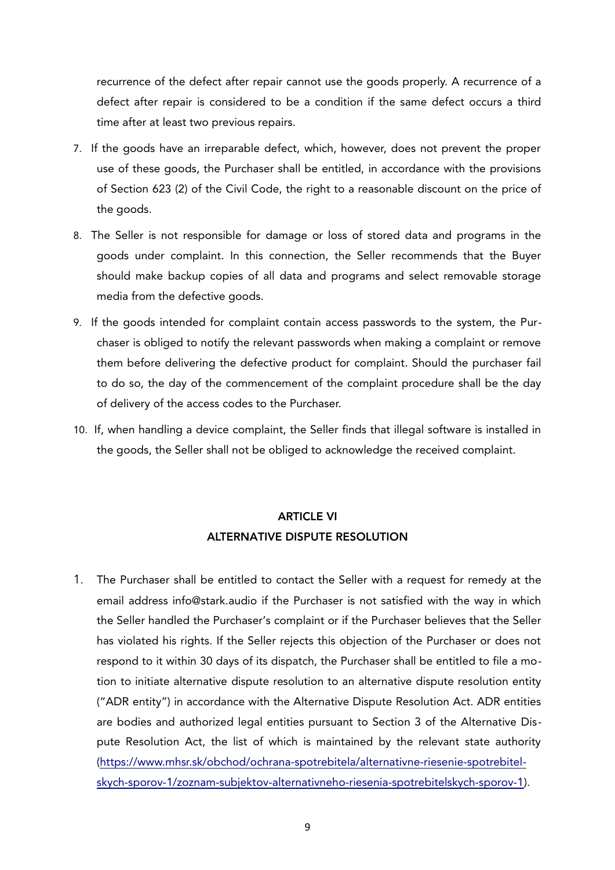recurrence of the defect after repair cannot use the goods properly. A recurrence of a defect after repair is considered to be a condition if the same defect occurs a third time after at least two previous repairs.

- 7. If the goods have an irreparable defect, which, however, does not prevent the proper use of these goods, the Purchaser shall be entitled, in accordance with the provisions of Section 623 (2) of the Civil Code, the right to a reasonable discount on the price of the goods.
- 8. The Seller is not responsible for damage or loss of stored data and programs in the goods under complaint. In this connection, the Seller recommends that the Buyer should make backup copies of all data and programs and select removable storage media from the defective goods.
- 9. If the goods intended for complaint contain access passwords to the system, the Purchaser is obliged to notify the relevant passwords when making a complaint or remove them before delivering the defective product for complaint. Should the purchaser fail to do so, the day of the commencement of the complaint procedure shall be the day of delivery of the access codes to the Purchaser.
- 10. If, when handling a device complaint, the Seller finds that illegal software is installed in the goods, the Seller shall not be obliged to acknowledge the received complaint.

## ARTICLE VI ALTERNATIVE DISPUTE RESOLUTION

1. The Purchaser shall be entitled to contact the Seller with a request for remedy at the email address info@stark.audio if the Purchaser is not satisfied with the way in which the Seller handled the Purchaser's complaint or if the Purchaser believes that the Seller has violated his rights. If the Seller rejects this objection of the Purchaser or does not respond to it within 30 days of its dispatch, the Purchaser shall be entitled to file a motion to initiate alternative dispute resolution to an alternative dispute resolution entity ("ADR entity") in accordance with the Alternative Dispute Resolution Act. ADR entities are bodies and authorized legal entities pursuant to Section 3 of the Alternative Dispute Resolution Act, the list of which is maintained by the relevant state authority ([https://www.mhsr.sk/obchod/ochrana-spotrebitela/alternativne-riesenie-spotrebitel](https://www.mhsr.sk/obchod/ochrana-spotrebitela/alternativne-riesenie-spotrebitelskych-sporov-1/zoznam-subjektov-alternativneho-riesenia-spotrebitelskych-sporov-1)[skych-sporov-1/zoznam-subjektov-alternativneho-riesenia-spotrebitelskych-sporov-1](https://www.mhsr.sk/obchod/ochrana-spotrebitela/alternativne-riesenie-spotrebitelskych-sporov-1/zoznam-subjektov-alternativneho-riesenia-spotrebitelskych-sporov-1)).